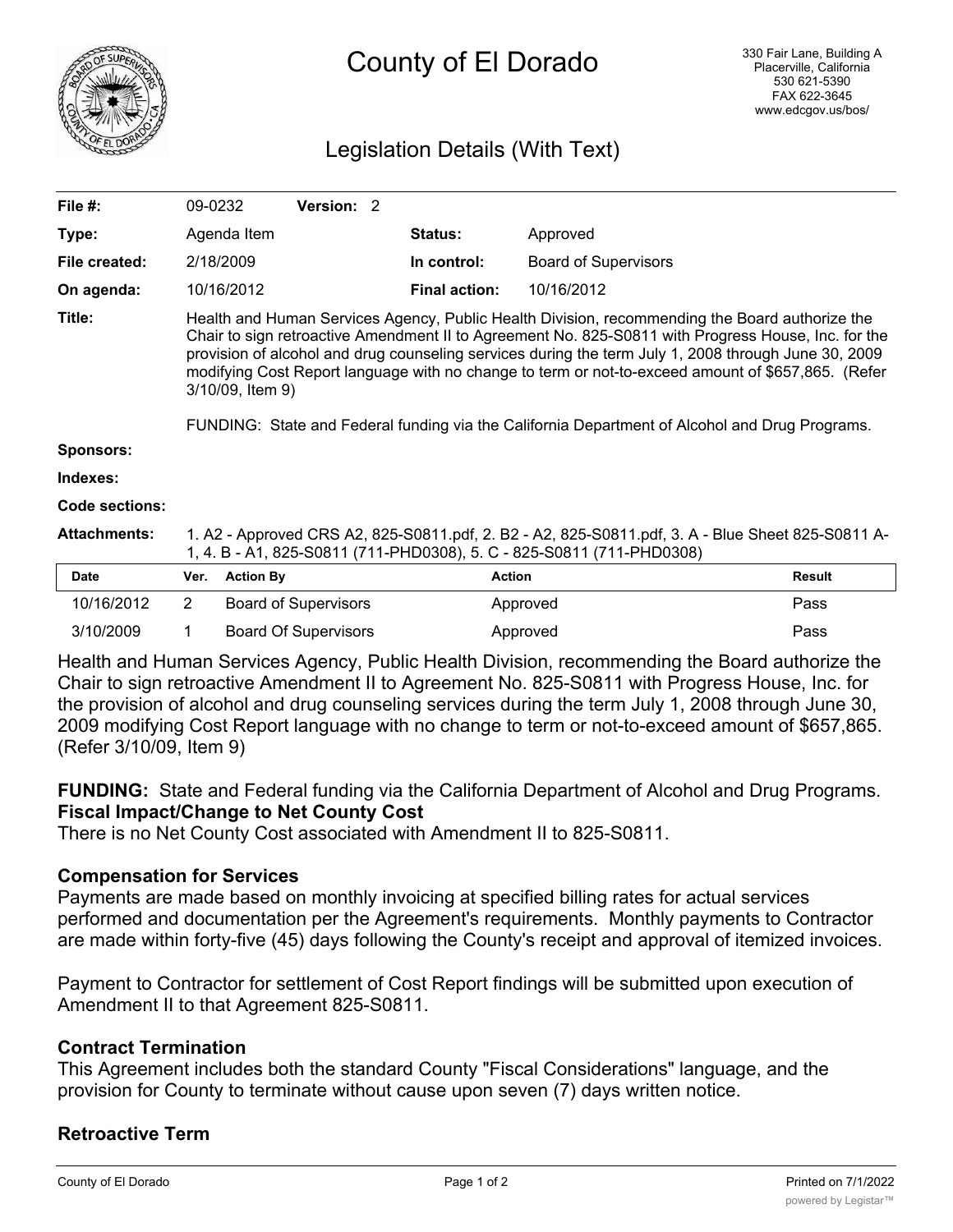

# County of El Dorado

# Legislation Details (With Text)

| File $#$ :          | 09-0232                                                                                                                                                                                                                                                                                                                                                                                                                                                                                                                                   |                  | <b>Version: 2</b>           |  |                      |                             |               |
|---------------------|-------------------------------------------------------------------------------------------------------------------------------------------------------------------------------------------------------------------------------------------------------------------------------------------------------------------------------------------------------------------------------------------------------------------------------------------------------------------------------------------------------------------------------------------|------------------|-----------------------------|--|----------------------|-----------------------------|---------------|
| Type:               |                                                                                                                                                                                                                                                                                                                                                                                                                                                                                                                                           | Agenda Item      |                             |  | Status:              | Approved                    |               |
| File created:       |                                                                                                                                                                                                                                                                                                                                                                                                                                                                                                                                           | 2/18/2009        |                             |  | In control:          | <b>Board of Supervisors</b> |               |
| On agenda:          |                                                                                                                                                                                                                                                                                                                                                                                                                                                                                                                                           | 10/16/2012       |                             |  | <b>Final action:</b> | 10/16/2012                  |               |
| Title:              | Health and Human Services Agency, Public Health Division, recommending the Board authorize the<br>Chair to sign retroactive Amendment II to Agreement No. 825-S0811 with Progress House, Inc. for the<br>provision of alcohol and drug counseling services during the term July 1, 2008 through June 30, 2009<br>modifying Cost Report language with no change to term or not-to-exceed amount of \$657,865. (Refer<br>3/10/09, Item 9)<br>FUNDING: State and Federal funding via the California Department of Alcohol and Drug Programs. |                  |                             |  |                      |                             |               |
| <b>Sponsors:</b>    |                                                                                                                                                                                                                                                                                                                                                                                                                                                                                                                                           |                  |                             |  |                      |                             |               |
| Indexes:            |                                                                                                                                                                                                                                                                                                                                                                                                                                                                                                                                           |                  |                             |  |                      |                             |               |
| Code sections:      |                                                                                                                                                                                                                                                                                                                                                                                                                                                                                                                                           |                  |                             |  |                      |                             |               |
| <b>Attachments:</b> | 1. A2 - Approved CRS A2, 825-S0811.pdf, 2. B2 - A2, 825-S0811.pdf, 3. A - Blue Sheet 825-S0811 A-<br>1, 4. B - A1, 825-S0811 (711-PHD0308), 5. C - 825-S0811 (711-PHD0308)                                                                                                                                                                                                                                                                                                                                                                |                  |                             |  |                      |                             |               |
| <b>Date</b>         | Ver.                                                                                                                                                                                                                                                                                                                                                                                                                                                                                                                                      | <b>Action By</b> |                             |  | <b>Action</b>        |                             | <b>Result</b> |
| 10/16/2012          | $\overline{2}$                                                                                                                                                                                                                                                                                                                                                                                                                                                                                                                            |                  | <b>Board of Supervisors</b> |  |                      | Approved                    | Pass          |
| 3/10/2009           | 1                                                                                                                                                                                                                                                                                                                                                                                                                                                                                                                                         |                  | <b>Board Of Supervisors</b> |  |                      | Approved                    | Pass          |

Health and Human Services Agency, Public Health Division, recommending the Board authorize the Chair to sign retroactive Amendment II to Agreement No. 825-S0811 with Progress House, Inc. for the provision of alcohol and drug counseling services during the term July 1, 2008 through June 30, 2009 modifying Cost Report language with no change to term or not-to-exceed amount of \$657,865. (Refer 3/10/09, Item 9)

**FUNDING:** State and Federal funding via the California Department of Alcohol and Drug Programs. **Fiscal Impact/Change to Net County Cost**

There is no Net County Cost associated with Amendment II to 825-S0811.

#### **Compensation for Services**

Payments are made based on monthly invoicing at specified billing rates for actual services performed and documentation per the Agreement's requirements. Monthly payments to Contractor are made within forty-five (45) days following the County's receipt and approval of itemized invoices.

Payment to Contractor for settlement of Cost Report findings will be submitted upon execution of Amendment II to that Agreement 825-S0811.

## **Contract Termination**

This Agreement includes both the standard County "Fiscal Considerations" language, and the provision for County to terminate without cause upon seven (7) days written notice.

## **Retroactive Term**